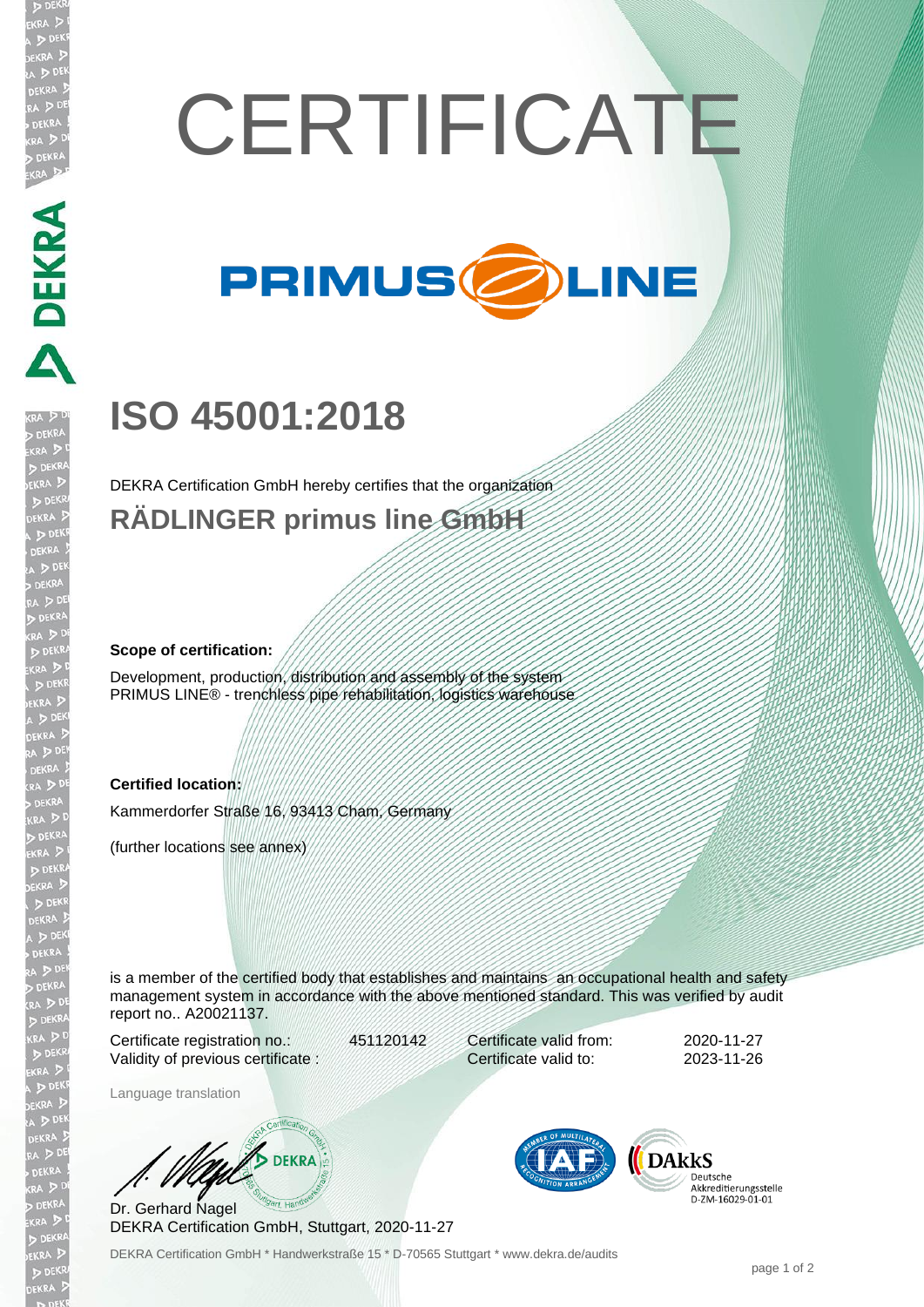# **CERTIFICATE**



## **ISO 45001:2018**

DEKRA Certification GmbH hereby certifies that the organization **RÄDLINGER primus line GmbH**

#### **Scope of certification:**

**DEKRA** 

)EKR

Development, production, distribution and assembly of the system PRIMUS LINE® - trenchless pipe rehabilitation, logistics warehouse

#### **Certified location:**

Kammerdorfer Straße 16, 93413 Cham, Germany

(further locations see annex)

is a member of the certified body that establishes and maintains an occupational health and safety management system in accordance with the above mentioned standard. This was verified by audit report no.. A20021137.

Certificate registration no.: 451120142 Validity of previous certificate :

Certificate valid from: 2020-11-27 Certificate valid to: 2023-11-26

Language translation

**DEKRA** 

Dr. Gerhard Nagel DEKRA Certification GmbH, Stuttgart, 2020-11-27



Deutsche Akkreditierungsstelle D-ZM-16029-01-01